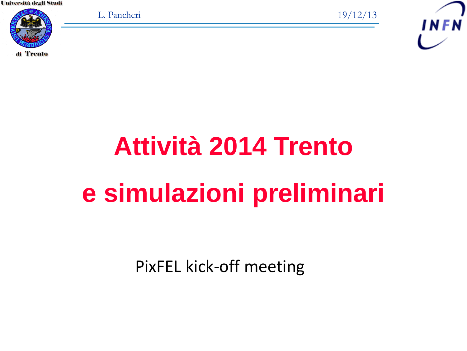

L. Pancheri 19/12/13



# **Attività 2014 Trento e simulazioni preliminari**

PixFEL kick-off meeting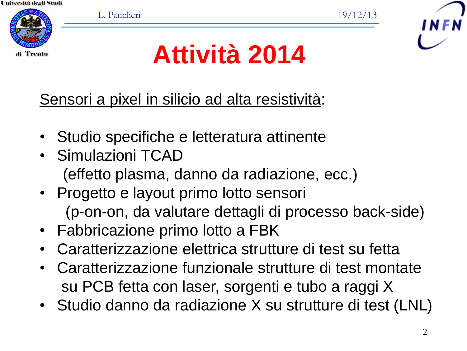'Trento

L. Pancheri 19/12/13



**Attività 2014**

Sensori a pixel in silicio ad alta resistività:

- Studio specifiche e letteratura attinente
- Simulazioni TCAD (effetto plasma, danno da radiazione, ecc.)
- Progetto e layout primo lotto sensori (p-on-on, da valutare dettagli di processo back-side)
- Fabbricazione primo lotto a FBK
- Caratterizzazione elettrica strutture di test su fetta
- Caratterizzazione funzionale strutture di test montate su PCB fetta con laser, sorgenti e tubo a raggi X
- Studio danno da radiazione X su strutture di test (LNL)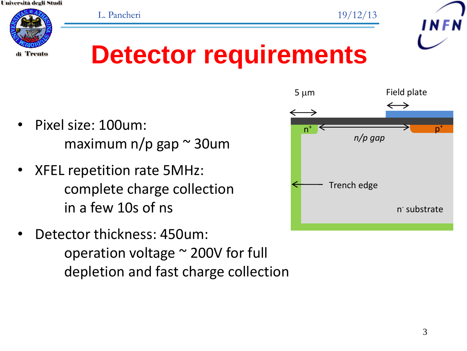

#### **Detector requirements**

- Pixel size: 100um: maximum n/p gap  $\sim$  30um
- XFEL repetition rate 5MHz: complete charge collection in a few 10s of ns
- Detector thickness: 450um: operation voltage ~ 200V for full depletion and fast charge collection

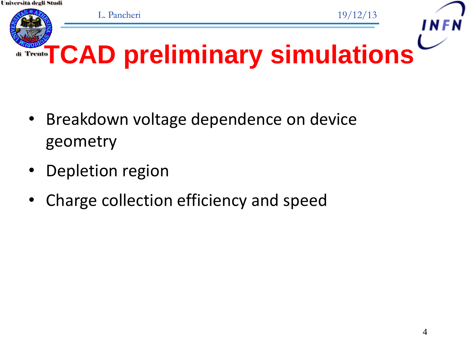

- Breakdown voltage dependence on device geometry
- Depletion region
- Charge collection efficiency and speed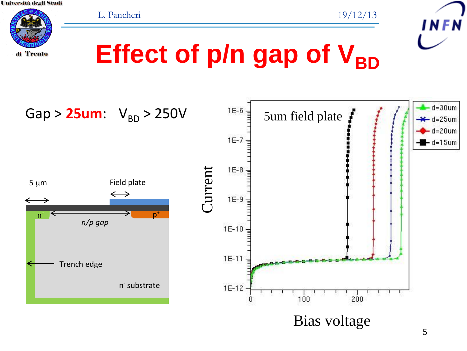



### **Effect of p/n gap of V<sub>BD</sub>**

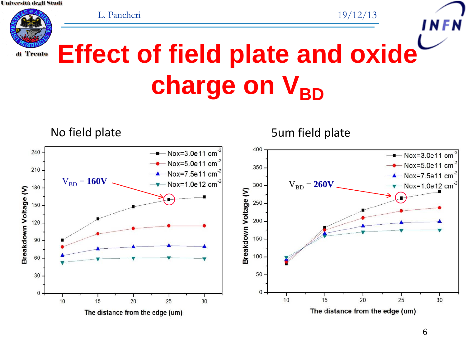

**Effect of field plate and oxide**  charge on V<sub>BD</sub>

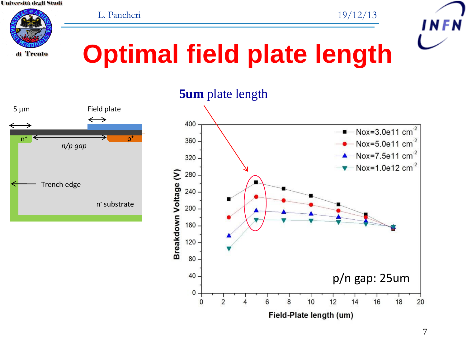L. Pancheri 19/12/13



#### **Optimal field plate length**



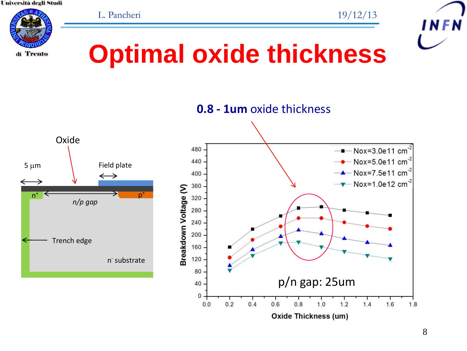





#### **Optimal oxide thickness**





8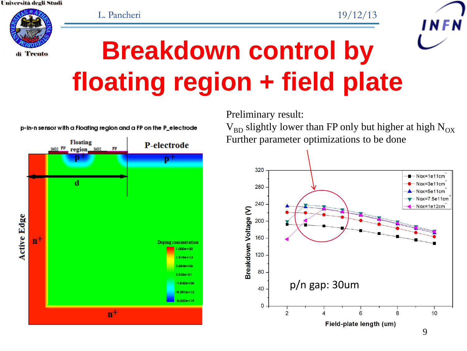



#### **Breakdown control by floating region + field plate**



p-in-n sensor with a Floating region and a FP on the P\_electrode

Preliminary result:

 $V_{BD}$  slightly lower than FP only but higher at high N<sub>OX</sub> Further parameter optimizations to be done

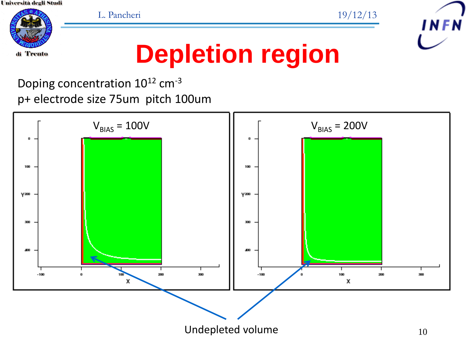L. Pancheri 19/12/13



di Trento

#### **Depletion region**

Doping concentration 10<sup>12</sup> cm-3 p+ electrode size 75um pitch 100um

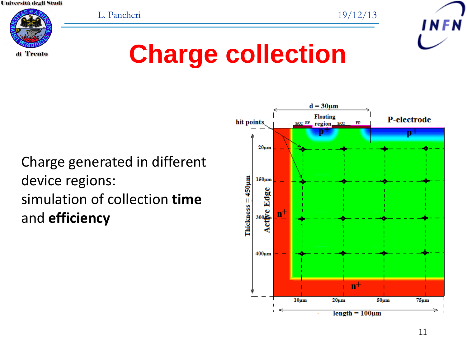L. Pancheri 19/12/13





#### Charge generated in different device regions: simulation of collection **time** and **efficiency**

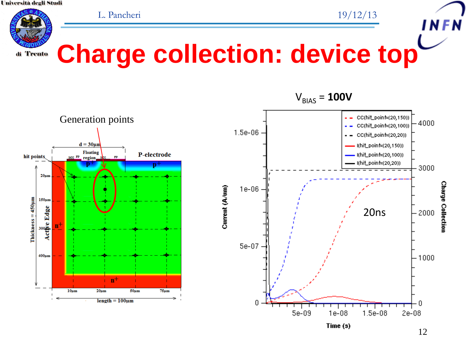L. Pancheri 19/12/13



#### **Charge collection: device top**





12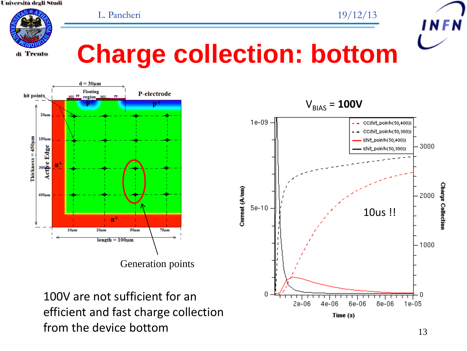L. Pancheri 19/12/13



#### **Charge collection: bottom**



100V are not sufficient for an efficient and fast charge collection from the device bottom